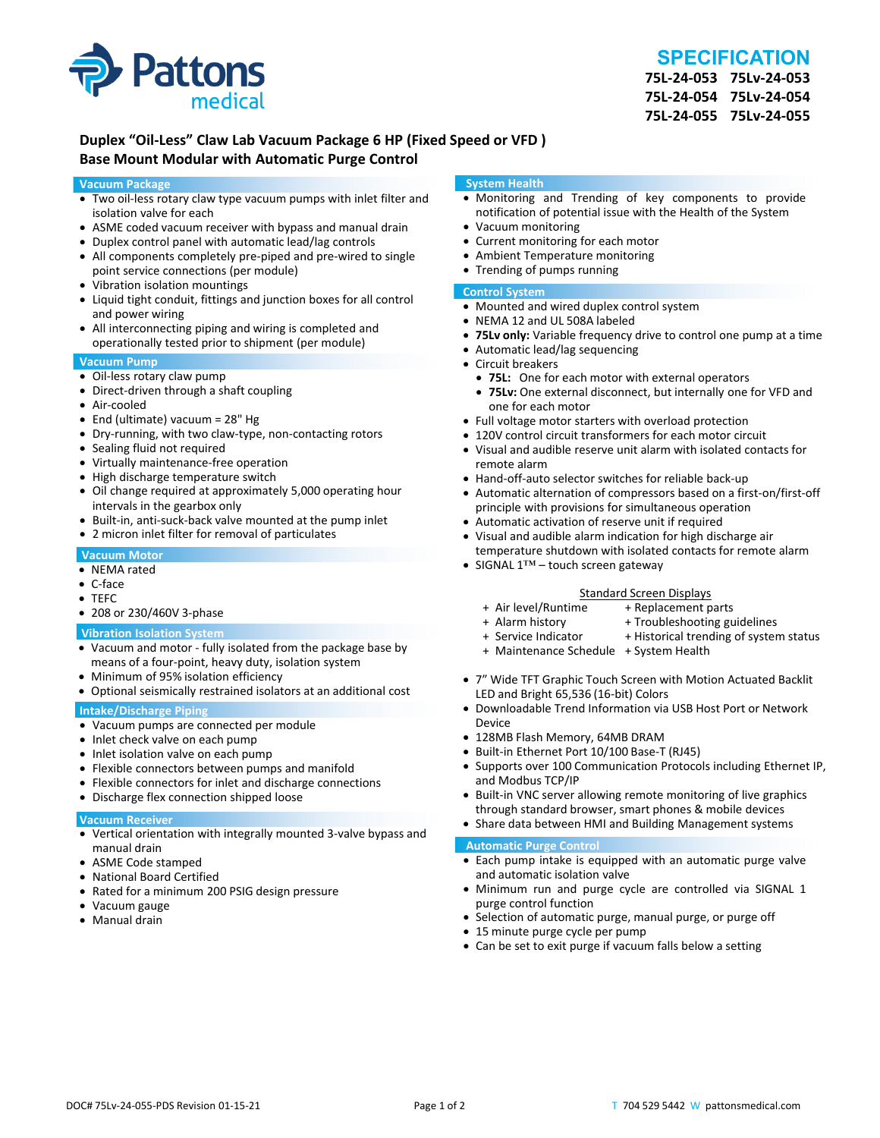

# **SPECIFICATION**

**75L‐24‐053 75Lv‐24‐053 75L‐24‐054 75Lv‐24‐054 75L‐24‐055 75Lv‐24‐055**

## **Duplex "Oil‐Less" Claw Lab Vacuum Package 6 HP (Fixed Speed or VFD ) Base Mount Modular with Automatic Purge Control**

#### **Vacuum Package**

- Two oil‐less rotary claw type vacuum pumps with inlet filter and isolation valve for each
- ASME coded vacuum receiver with bypass and manual drain
- Duplex control panel with automatic lead/lag controls
- All components completely pre-piped and pre-wired to single point service connections (per module)
- Vibration isolation mountings
- Liquid tight conduit, fittings and junction boxes for all control and power wiring
- All interconnecting piping and wiring is completed and operationally tested prior to shipment (per module)

#### **Vacuum Pump**

- Oil-less rotary claw pump
- Direct-driven through a shaft coupling
- Air‐cooled
- End (ultimate) vacuum = 28" Hg
- Dry-running, with two claw-type, non-contacting rotors
- Sealing fluid not required
- Virtually maintenance-free operation
- High discharge temperature switch
- Oil change required at approximately 5,000 operating hour intervals in the gearbox only
- Built-in, anti-suck-back valve mounted at the pump inlet
- 2 micron inlet filter for removal of particulates

#### **Vacuum Motor**

- NEMA rated
- C‐face
- TEFC
- 208 or 230/460V 3‐phase

#### **Vibration Isolation System**

- Vacuum and motor ‐ fully isolated from the package base by means of a four‐point, heavy duty, isolation system
- Minimum of 95% isolation efficiency
- Optional seismically restrained isolators at an additional cost

#### **Intake/Discharge Piping**

- Vacuum pumps are connected per module
- Inlet check valve on each pump
- Inlet isolation valve on each pump
- Flexible connectors between pumps and manifold
- Flexible connectors for inlet and discharge connections
- Discharge flex connection shipped loose

#### **Vacuum Receiver**

- Vertical orientation with integrally mounted 3‐valve bypass and manual drain
- ASME Code stamped
- National Board Certified
- Rated for a minimum 200 PSIG design pressure
- Vacuum gauge
- Manual drain

#### **System Health**

- Monitoring and Trending of key components to provide notification of potential issue with the Health of the System
- Vacuum monitoring
- Current monitoring for each motor
- Ambient Temperature monitoring
- Trending of pumps running

#### **Control System**

- Mounted and wired duplex control system
- NEMA 12 and UL 508A labeled
- **75Lv only:** Variable frequency drive to control one pump at a time
- Automatic lead/lag sequencing
- Circuit breakers
- **75L:** One for each motor with external operators
- **75Lv:** One external disconnect, but internally one for VFD and one for each motor
- Full voltage motor starters with overload protection
- 120V control circuit transformers for each motor circuit
- Visual and audible reserve unit alarm with isolated contacts for remote alarm
- Hand-off-auto selector switches for reliable back-up
- Automatic alternation of compressors based on a first-on/first-off principle with provisions for simultaneous operation
- Automatic activation of reserve unit if required
- Visual and audible alarm indication for high discharge air temperature shutdown with isolated contacts for remote alarm
- SIGNAL 1™ touch screen gateway

# Standard Screen Displays<br>Air level/Runtime + Replacement p +

- + Air level/Runtime + Replacement parts
- 
- + Troubleshooting guidelines
- + Service Indicator + Historical trending of system status
- + Maintenance Schedule + System Health
- 7" Wide TFT Graphic Touch Screen with Motion Actuated Backlit LED and Bright 65,536 (16‐bit) Colors
- Downloadable Trend Information via USB Host Port or Network Device
- 128MB Flash Memory, 64MB DRAM
- Built-in Ethernet Port 10/100 Base-T (RJ45)
- Supports over 100 Communication Protocols including Ethernet IP, and Modbus TCP/IP
- Built-in VNC server allowing remote monitoring of live graphics through standard browser, smart phones & mobile devices
- Share data between HMI and Building Management systems

#### **Automatic Purge Control**

- Each pump intake is equipped with an automatic purge valve and automatic isolation valve
- Minimum run and purge cycle are controlled via SIGNAL 1 purge control function
- Selection of automatic purge, manual purge, or purge off
- 15 minute purge cycle per pump
- Can be set to exit purge if vacuum falls below a setting